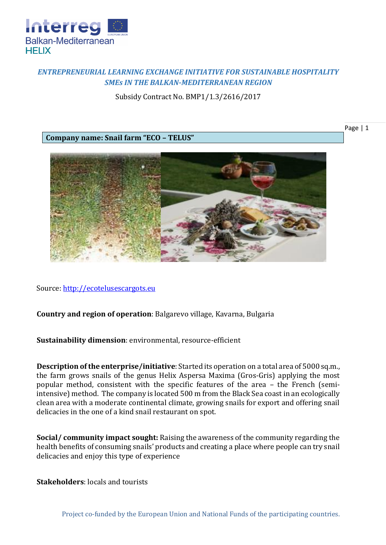

## *ENTREPRENEURIAL LEARNING EXCHANGE INITIATIVE FOR SUSTAINABLE HOSPITALITY SMEs IN THE BALKAN-MEDITERRANEAN REGION*

Subsidy Contract No. BMP1/1.3/2616/2017

**Company name: Snail farm "ECO – TELUS"**

Page | 1



Source: [http://ecotelusescargots.eu](http://ecotelusescargots.eu/)

## **Country and region of operation**: Balgarevo village, Kavarna, Bulgaria

**Sustainability dimension**: environmental, resource-efficient

**Description of the enterprise/initiative**: Started its operation on a total area of 5000 sq.m., the farm grows snails of the genus Helix Aspersa Maxima (Gros-Gris) applying the most popular method, consistent with the specific features of the area – the French (semiintensive) method. The company is located 500 m from the Black Sea coast in an ecologically clean area with a moderate continental climate, growing snails for export and offering snail delicacies in the one of a kind snail restaurant on spot.

**Social/ community impact sought:** Raising the awareness of the community regarding the health benefits of consuming snails' products and creating a place where people can try snail delicacies and enjoy this type of experience

**Stakeholders**: locals and tourists